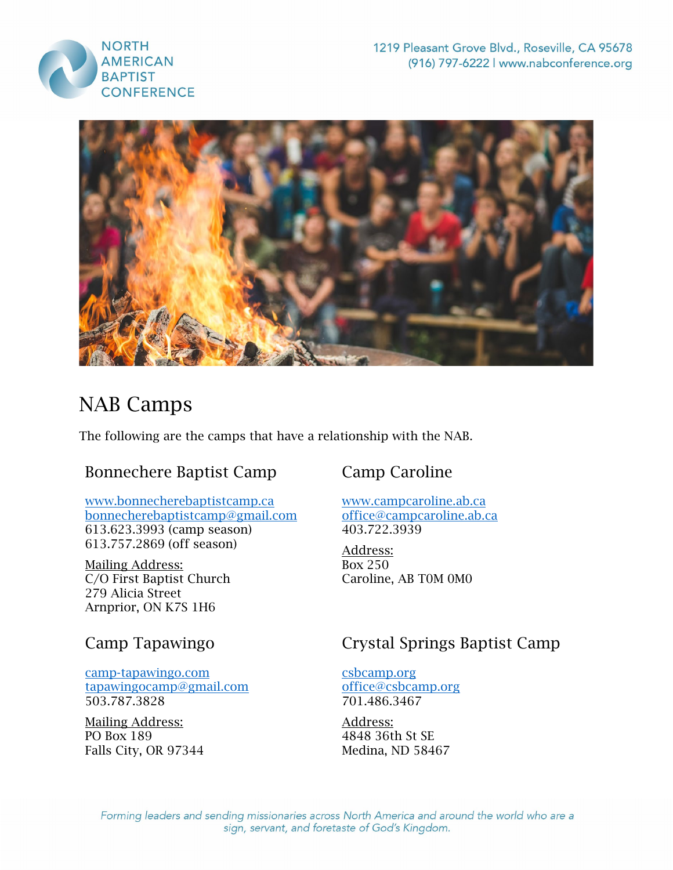



# NAB Camps

The following are the camps that have a relationship with the NAB.

# Bonnechere Baptist Camp

#### [www.bonnecherebaptistcamp.ca](http://www.bonnecherebaptistcamp.ca/) [bonnecherebaptistcamp@gmail.com](mailto:bonnecherebaptistcamp@gmail.com) 613.623.3993 (camp season) 613.757.2869 (off season)

Mailing Address: C/O First Baptist Church 279 Alicia Street Arnprior, ON K7S 1H6

### Camp Tapawingo

#### [camp-tapawingo.com](https://camp-tapawingo.com/) [tapawingocamp@gmail.com](mailto:tapawingocamp@gmail.com) 503.787.3828

Mailing Address: PO Box 189 Falls City, OR 97344

# Camp Caroline

[www.campcaroline.ab.ca](http://www.campcaroline.ab.ca/) [office@campcaroline.ab.ca](mailto:office@campcaroline.ab.ca) 403.722.3939

Address: Box 250 Caroline, AB T0M 0M0

# Crystal Springs Baptist Camp

[csbcamp.org](https://csbcamp.org/) [office@csbcamp.org](mailto:office@csbcamp.org) 701.486.3467

Address: 4848 36th St SE Medina, ND 58467